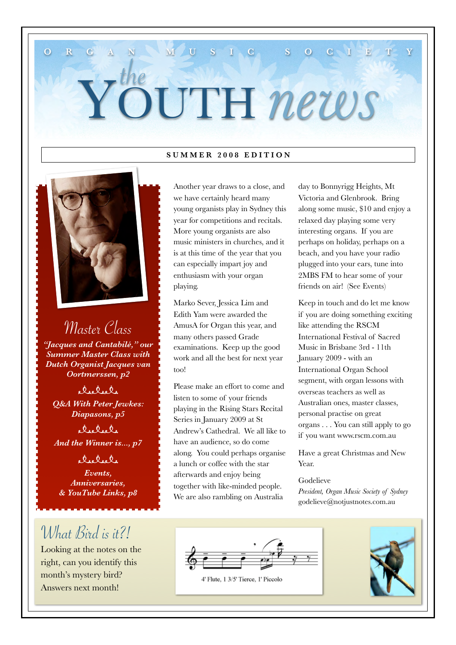# YOUTH *news* the

**O R G A N M M U S I C S O C I E** 

#### **SUMMER 2008 EDITION**



Master Class *"Jacques and Cantabilé," our Summer Master Class with Dutch Organist Jacques van Oortmerssen, p2*

elselsle *Q&A With Peter Jewkes: Diapasons, p5*

delele *And the Winner is..., p7*

cleckel

*Events, Anniversaries, & YouTube Links, p8*

# What Bird is it?!

Looking at the notes on the right, can you identify this month's mystery bird? Answers next month!

Another year draws to a close, and we have certainly heard many young organists play in Sydney this year for competitions and recitals. More young organists are also music ministers in churches, and it is at this time of the year that you can especially impart joy and enthusiasm with your organ playing.

Marko Sever, Jessica Lim and Edith Yam were awarded the AmusA for Organ this year, and many others passed Grade examinations. Keep up the good work and all the best for next year too!

Please make an effort to come and listen to some of your friends playing in the Rising Stars Recital Series in January 2009 at St Andrew's Cathedral. We all like to have an audience, so do come along. You could perhaps organise a lunch or coffee with the star afterwards and enjoy being together with like-minded people. We are also rambling on Australia

day to Bonnyrigg Heights, Mt Victoria and Glenbrook. Bring along some music, \$10 and enjoy a relaxed day playing some very interesting organs. If you are perhaps on holiday, perhaps on a beach, and you have your radio plugged into your ears, tune into 2MBS FM to hear some of your friends on air! (See Events)

Keep in touch and do let me know if you are doing something exciting like attending the RSCM International Festival of Sacred Music in Brisbane 3rd - 11th January 2009 - with an International Organ School segment, with organ lessons with overseas teachers as well as Australian ones, master classes, personal practise on great organs . . . You can still apply to go if you want [www.rscm.com.au](http://www.rscm.com.au)

Have a great Christmas and New Year.

#### Godelieve

*President, Organ Music Society of Sydney* [godelieve@notjustnotes.com.au](mailto:Godelieve@notjustnotes.com.au)



4' Flute, 1 3/5' Tierce, 1' Piccolo

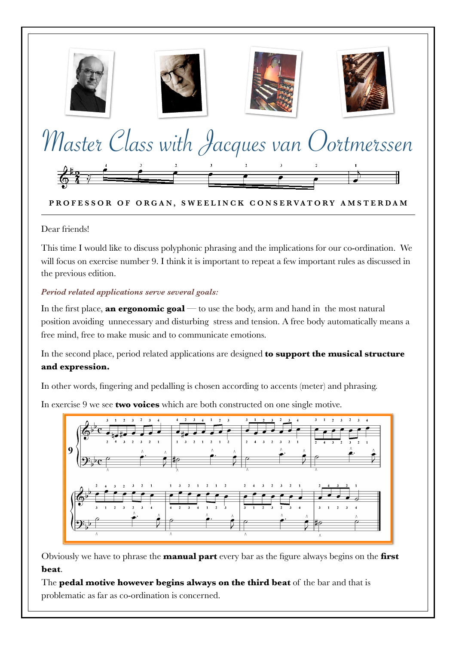

#### PROFESSOR OF ORGAN, SWEELINCK CONSERVATORY AMSTERDAM

Dear friends!

This time I would like to discuss polyphonic phrasing and the implications for our co-ordination. We will focus on exercise number 9. I think it is important to repeat a few important rules as discussed in the previous edition.

#### *Period related applications serve several goals:*

In the first place, **an ergonomic goal** — to use the body, arm and hand in the most natural position avoiding unnecessary and disturbing stress and tension. A free body automatically means a free mind, free to make music and to communicate emotions.

In the second place, period related applications are designed **to support the musical structure and expression.** 

In other words, fingering and pedalling is chosen according to accents (meter) and phrasing.

In exercise 9 we see **two voices** which are both constructed on one single motive.



Obviously we have to phrase the **manual part** every bar as the figure always begins on the **first beat**.

The **pedal motive however begins always on the third beat** of the bar and that is problematic as far as co-ordination is concerned.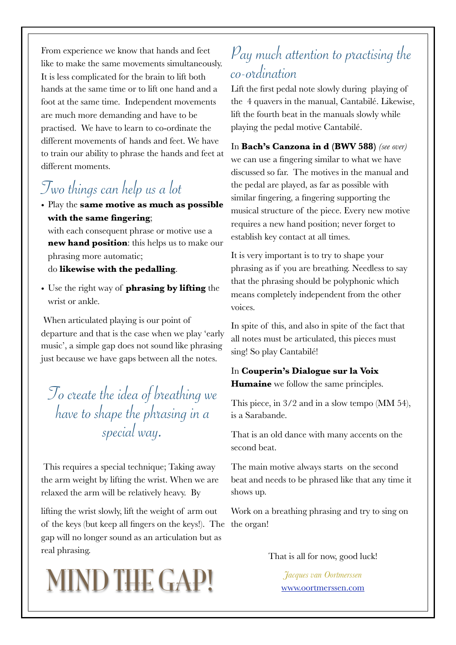From experience we know that hands and feet like to make the same movements simultaneously. It is less complicated for the brain to lift both hands at the same time or to lift one hand and a foot at the same time. Independent movements are much more demanding and have to be practised. We have to learn to co-ordinate the different movements of hands and feet. We have to train our ability to phrase the hands and feet at different moments.

## Two things can help us a lot

• Play the **same motive as much as possible with the same fingering**;

with each consequent phrase or motive use a **new hand position**: this helps us to make our phrasing more automatic; do **likewise with the pedalling**.

• Use the right way of **phrasing by lifting** the wrist or ankle.

 When articulated playing is our point of departure and that is the case when we play 'early music', a simple gap does not sound like phrasing just because we have gaps between all the notes.

To create the idea of breathing we have to shape the phrasing in a special way.

 This requires a special technique; Taking away the arm weight by lifting the wrist. When we are relaxed the arm will be relatively heavy. By

lifting the wrist slowly, lift the weight of arm out of the keys (but keep all fingers on the keys!). The the organ! gap will no longer sound as an articulation but as real phrasing.

# *Jacques van Oortmerssen* MIND THE GAP! [www.oortmerssen.com](http://www.oortmerssen.com)

### Pay much attention to practising the co-ordination

Lift the first pedal note slowly during playing of the 4 quavers in the manual, Cantabilé. Likewise, lift the fourth beat in the manuals slowly while playing the pedal motive Cantabilé.

In **Bach's Canzona in d (BWV 588)** *(see over)*  we can use a fingering similar to what we have discussed so far. The motives in the manual and the pedal are played, as far as possible with similar fingering, a fingering supporting the musical structure of the piece. Every new motive requires a new hand position; never forget to establish key contact at all times.

It is very important is to try to shape your phrasing as if you are breathing. Needless to say that the phrasing should be polyphonic which means completely independent from the other voices.

In spite of this, and also in spite of the fact that all notes must be articulated, this pieces must sing! So play Cantabilé!

#### In **Couperin's Dialogue sur la Voix Humaine** we follow the same principles.

This piece, in 3/2 and in a slow tempo (MM 54), is a Sarabande.

That is an old dance with many accents on the second beat.

The main motive always starts on the second beat and needs to be phrased like that any time it shows up.

Work on a breathing phrasing and try to sing on

That is all for now, good luck!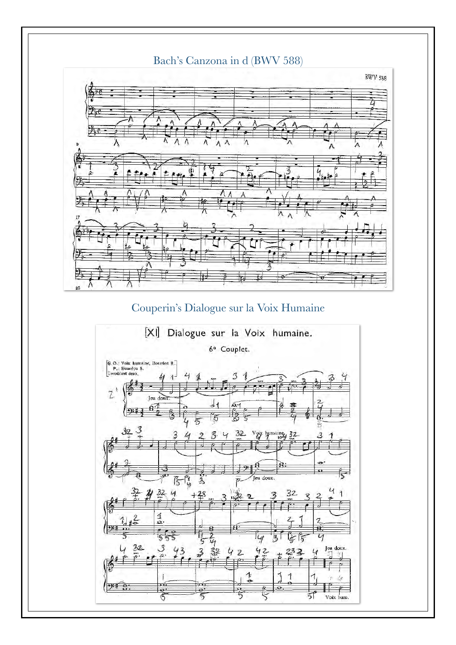

### Couperin's Dialogue sur la Voix Humaine

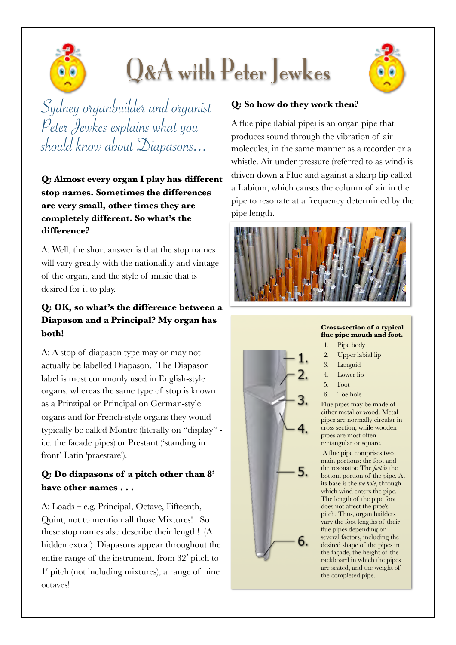

# Q&A with Peter Jewkes



Sydney organbuilder and organist Peter Jewkes explains what you should know about Diapasons...

**Q: Almost every organ I play has different stop names. Sometimes the differences are very small, other times they are completely different. So what's the difference?** 

A: Well, the short answer is that the stop names will vary greatly with the nationality and vintage of the organ, and the style of music that is desired for it to play.

#### **Q: OK, so what's the difference between a Diapason and a Principal? My organ has both!**

A: A stop of diapason type may or may not actually be labelled Diapason. The Diapason label is most commonly used in English-style organs, whereas the same type of stop is known as a Prinzipal or Principal on German-style organs and for French-style organs they would typically be called Montre (literally on "display" i.e. the facade pipes) or Prestant ('standing in front' Latin 'praestare').

#### **Q: Do diapasons of a pitch other than 8' have other names . . .**

A: Loads – e.g. Principal, Octave, Fifteenth, Quint, not to mention all those Mixtures! So these stop names also describe their length! (A hidden extra!) Diapasons appear throughout the entire range of the instrument, from 32′ pitch to 1′ pitch (not including mixtures), a range of nine octaves!

#### **Q: So how do they work then?**

A flue pipe (labial pipe) is an organ pipe that produces sound through the vibration of air molecules, in the same manner as a recorder or a whistle. Air under pressure (referred to as wind) is driven down a Flue and against a sharp lip called a Labium, which causes the column of air in the pipe to resonate at a frequency determined by the pipe length.





#### **Cross-section of a typical flue pipe mouth and foot.**

- 1. Pipe body
- 2. Upper labial lip
- 3. Languid
- 4. Lower lip
- 5. Foot
- 6. Toe hole

Flue pipes may be made of either metal or wood. Metal pipes are normally circular in cross section, while wooden pipes are most often rectangular or square.

 A flue pipe comprises two main portions: the foot and the resonator. The *foot* is the bottom portion of the pipe. At its base is the *toe hole*, through which wind enters the pipe. The length of the pipe foot does not affect the pipe's pitch. Thus, organ builders vary the foot lengths of their flue pipes depending on several factors, including the desired shape of the pipes in the façade, the height of the rackboard in which the pipes are seated, and the weight of the completed pipe.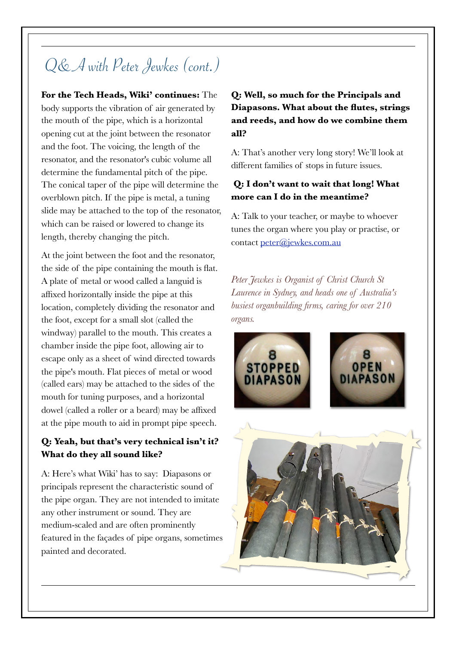# Q& A with Peter Jewkes (cont.)

**For the Tech Heads, Wiki' continues:** The body supports the vibration of air generated by the mouth of the pipe, which is a horizontal opening cut at the joint between the resonator and the foot. The voicing, the length of the resonator, and the resonator's cubic volume all determine the fundamental pitch of the pipe. The conical taper of the pipe will determine the overblown pitch. If the pipe is metal, a tuning slide may be attached to the top of the resonator, which can be raised or lowered to change its length, thereby changing the pitch.

At the joint between the foot and the resonator, the side of the pipe containing the mouth is flat. A plate of metal or wood called a languid is affixed horizontally inside the pipe at this location, completely dividing the resonator and the foot, except for a small slot (called the windway) parallel to the mouth. This creates a chamber inside the pipe foot, allowing air to escape only as a sheet of wind directed towards the pipe's mouth. Flat pieces of metal or wood (called ears) may be attached to the sides of the mouth for tuning purposes, and a horizontal dowel (called a roller or a beard) may be affixed at the pipe mouth to aid in prompt pipe speech.

#### **Q: Yeah, but that's very technical isn't it? What do they all sound like?**

A: Here's what Wiki' has to say: Diapasons or principals represent the characteristic sound of the pipe organ. They are not intended to imitate any other instrument or sound. They are medium-scaled and are often prominently featured in the façades of pipe organs, sometimes painted and decorated.

#### **Q: Well, so much for the Principals and Diapasons. What about the flutes, strings and reeds, and how do we combine them all?**

A: That's another very long story! We'll look at different families of stops in future issues.

#### **Q: I don't want to wait that long! What more can I do in the meantime?**

A: Talk to your teacher, or maybe to whoever tunes the organ where you play or practise, or contact [peter@jewkes.com.au](mailto:peter@jewkes.com.au) 

*Peter Jewkes is Organist of Christ Church St Laurence in Sydney, and heads one of Australia's busiest organbuilding firms, caring for over 210 organs.*



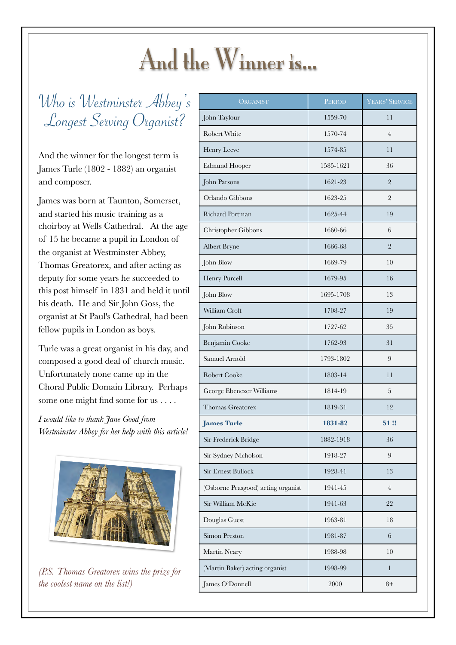# And the Winner is...

Who is Westminster Abbey's Longest Serving Organist?

And the winner for the longest term is James Turle (1802 - 1882) an organist and composer.

James was born at Taunton, Somerset, and started his music training as a choirboy at Wells Cathedral. At the age of 15 he became a pupil in London of the organist at Westminster Abbey, Thomas Greatorex, and after acting as deputy for some years he succeeded to this post himself in 1831 and held it until his death. He and Sir John Goss, the organist at St Paul's Cathedral, had been fellow pupils in London as boys.

Turle was a great organist in his day, and composed a good deal of church music. Unfortunately none came up in the Choral Public Domain Library. Perhaps some one might find some for us . . . .

*I would like to thank Jane Good from Westminster Abbey for her help with this article!* 



*(P.S. Thomas Greatorex wins the prize for the coolest name on the list!)*

| ORGANIST                           | <b>PERIOD</b> | YEARS' SERVICE |
|------------------------------------|---------------|----------------|
| John Taylour                       | 1559-70       | 11             |
| Robert White                       | 1570-74       | $\overline{4}$ |
| Henry Leeve                        | 1574-85       | 11             |
| <b>Edmund Hooper</b>               | 1585-1621     | 36             |
| John Parsons                       | 1621-23       | $\overline{2}$ |
| Orlando Gibbons                    | 1623-25       | $\overline{2}$ |
| <b>Richard Portman</b>             | 1625-44       | 19             |
| Christopher Gibbons                | 1660-66       | 6              |
| Albert Bryne                       | 1666-68       | $\overline{2}$ |
| John Blow                          | 1669-79       | 10             |
| Henry Purcell                      | 1679-95       | 16             |
| John Blow                          | 1695-1708     | 13             |
| William Croft                      | 1708-27       | 19             |
| John Robinson                      | 1727-62       | 35             |
| Benjamin Cooke                     | 1762-93       | 31             |
| Samuel Arnold                      | 1793-1802     | 9              |
| Robert Cooke                       | 1803-14       | 11             |
| George Ebenezer Williams           | 1814-19       | 5              |
| <b>Thomas Greatorex</b>            | 1819-31       | 12             |
| <b>James Turle</b>                 | 1831-82       | 51!            |
| Sir Frederick Bridge               | 1882-1918     | 36             |
| Sir Sydney Nicholson               | 1918-27       | 9              |
| <b>Sir Ernest Bullock</b>          | 1928-41       | 13             |
| (Osborne Peasgood) acting organist | 1941-45       | $\overline{4}$ |
| Sir William McKie                  | 1941-63       | 22             |
| Douglas Guest                      | 1963-81       | 18             |
| <b>Simon Preston</b>               | 1981-87       | 6              |
| Martin Neary                       | 1988-98       | 10             |
| (Martin Baker) acting organist     | 1998-99       | $\mathbf{1}$   |
| James O'Donnell                    | 2000          | $8+$           |